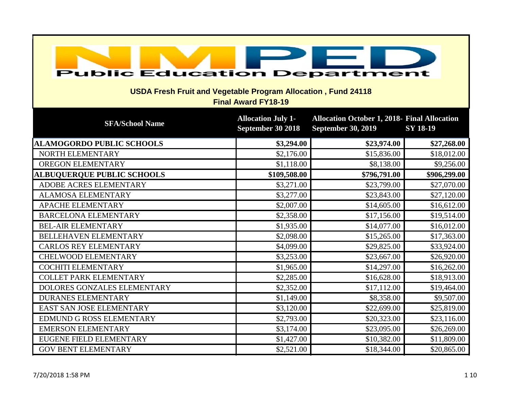| <b>Public Education Department</b><br><b>USDA Fresh Fruit and Vegetable Program Allocation, Fund 24118</b><br><b>Final Award FY18-19</b> |                                                |                                                                                  |                 |
|------------------------------------------------------------------------------------------------------------------------------------------|------------------------------------------------|----------------------------------------------------------------------------------|-----------------|
| <b>SFA/School Name</b>                                                                                                                   | <b>Allocation July 1-</b><br>September 30 2018 | <b>Allocation October 1, 2018- Final Allocation</b><br><b>September 30, 2019</b> | <b>SY 18-19</b> |
| <b>ALAMOGORDO PUBLIC SCHOOLS</b>                                                                                                         | \$3,294.00                                     | \$23,974.00                                                                      | \$27,268.00     |
| NORTH ELEMENTARY                                                                                                                         | \$2,176.00                                     | \$15,836.00                                                                      | \$18,012.00     |
| OREGON ELEMENTARY                                                                                                                        | \$1,118.00                                     | \$8,138.00                                                                       | \$9,256.00      |
| <b>ALBUQUERQUE PUBLIC SCHOOLS</b>                                                                                                        | \$109,508.00                                   | \$796,791.00                                                                     | \$906,299.00    |
| <b>ADOBE ACRES ELEMENTARY</b>                                                                                                            | \$3,271.00                                     | \$23,799.00                                                                      | \$27,070.00     |
| <b>ALAMOSA ELEMENTARY</b>                                                                                                                | \$3,277.00                                     | \$23,843.00                                                                      | \$27,120.00     |
| APACHE ELEMENTARY                                                                                                                        | \$2,007.00                                     | \$14,605.00                                                                      | \$16,612.00     |
| <b>BARCELONA ELEMENTARY</b>                                                                                                              | \$2,358.00                                     | \$17,156.00                                                                      | \$19,514.00     |
| <b>BEL-AIR ELEMENTARY</b>                                                                                                                | \$1,935.00                                     | \$14,077.00                                                                      | \$16,012.00     |
| BELLEHAVEN ELEMENTARY                                                                                                                    | \$2,098.00                                     | \$15,265.00                                                                      | \$17,363.00     |
| <b>CARLOS REY ELEMENTARY</b>                                                                                                             | \$4,099.00                                     | \$29,825.00                                                                      | \$33,924.00     |
| <b>CHELWOOD ELEMENTARY</b>                                                                                                               | \$3,253.00                                     | \$23,667.00                                                                      | \$26,920.00     |
| <b>COCHITI ELEMENTARY</b>                                                                                                                | \$1,965.00                                     | \$14,297.00                                                                      | \$16,262.00     |
| <b>COLLET PARK ELEMENTARY</b>                                                                                                            | \$2,285.00                                     | \$16,628.00                                                                      | \$18,913.00     |
| DOLORES GONZALES ELEMENTARY                                                                                                              | \$2,352.00                                     | \$17,112.00                                                                      | \$19,464.00     |
| <b>DURANES ELEMENTARY</b>                                                                                                                | \$1,149.00                                     | \$8,358.00                                                                       | \$9,507.00      |
| EAST SAN JOSE ELEMENTARY                                                                                                                 | \$3,120.00                                     | \$22,699.00                                                                      | \$25,819.00     |
| EDMUND G ROSS ELEMENTARY                                                                                                                 | \$2,793.00                                     | \$20,323.00                                                                      | \$23,116.00     |
| <b>EMERSON ELEMENTARY</b>                                                                                                                | \$3,174.00                                     | \$23,095.00                                                                      | \$26,269.00     |
| <b>EUGENE FIELD ELEMENTARY</b>                                                                                                           | \$1,427.00                                     | \$10,382.00                                                                      | \$11,809.00     |
| <b>GOV BENT ELEMENTARY</b>                                                                                                               | \$2,521.00                                     | \$18,344.00                                                                      | \$20,865.00     |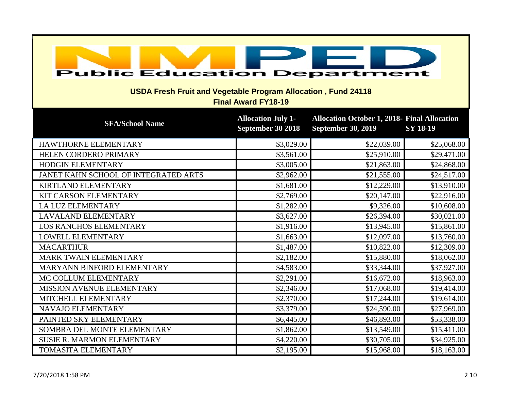| <b>Public Education Department</b><br><b>USDA Fresh Fruit and Vegetable Program Allocation, Fund 24118</b><br><b>Final Award FY18-19</b> |                                                |                                                                                  |                 |
|------------------------------------------------------------------------------------------------------------------------------------------|------------------------------------------------|----------------------------------------------------------------------------------|-----------------|
| <b>SFA/School Name</b>                                                                                                                   | <b>Allocation July 1-</b><br>September 30 2018 | <b>Allocation October 1, 2018- Final Allocation</b><br><b>September 30, 2019</b> | <b>SY 18-19</b> |
| HAWTHORNE ELEMENTARY                                                                                                                     | \$3,029.00                                     | \$22,039.00                                                                      | \$25,068.00     |
| HELEN CORDERO PRIMARY                                                                                                                    | \$3,561.00                                     | \$25,910.00                                                                      | \$29,471.00     |
| HODGIN ELEMENTARY                                                                                                                        | \$3,005.00                                     | \$21,863.00                                                                      | \$24,868.00     |
| JANET KAHN SCHOOL OF INTEGRATED ARTS                                                                                                     | \$2,962.00                                     | \$21,555.00                                                                      | \$24,517.00     |
| <b>KIRTLAND ELEMENTARY</b>                                                                                                               | \$1,681.00                                     | \$12,229.00                                                                      | \$13,910.00     |
| KIT CARSON ELEMENTARY                                                                                                                    | \$2,769.00                                     | \$20,147.00                                                                      | \$22,916.00     |
| <b>LA LUZ ELEMENTARY</b>                                                                                                                 | \$1,282.00                                     | \$9,326.00                                                                       | \$10,608.00     |
| <b>LAVALAND ELEMENTARY</b>                                                                                                               | \$3,627.00                                     | \$26,394.00                                                                      | \$30,021.00     |
| LOS RANCHOS ELEMENTARY                                                                                                                   | \$1,916.00                                     | \$13,945.00                                                                      | \$15,861.00     |
| LOWELL ELEMENTARY                                                                                                                        | \$1,663.00                                     | \$12,097.00                                                                      | \$13,760.00     |
| <b>MACARTHUR</b>                                                                                                                         | \$1,487.00                                     | \$10,822.00                                                                      | \$12,309.00     |
| MARK TWAIN ELEMENTARY                                                                                                                    | \$2,182.00                                     | \$15,880.00                                                                      | \$18,062.00     |
| MARYANN BINFORD ELEMENTARY                                                                                                               | \$4,583.00                                     | \$33,344.00                                                                      | \$37,927.00     |
| MC COLLUM ELEMENTARY                                                                                                                     | \$2,291.00                                     | \$16,672.00                                                                      | \$18,963.00     |
| MISSION AVENUE ELEMENTARY                                                                                                                | \$2,346.00                                     | \$17,068.00                                                                      | \$19,414.00     |
| MITCHELL ELEMENTARY                                                                                                                      | \$2,370.00                                     | \$17,244.00                                                                      | \$19,614.00     |
| NAVAJO ELEMENTARY                                                                                                                        | \$3,379.00                                     | \$24,590.00                                                                      | \$27,969.00     |
| PAINTED SKY ELEMENTARY                                                                                                                   | \$6,445.00                                     | \$46,893.00                                                                      | \$53,338.00     |
| SOMBRA DEL MONTE ELEMENTARY                                                                                                              | \$1,862.00                                     | \$13,549.00                                                                      | \$15,411.00     |
| <b>SUSIE R. MARMON ELEMENTARY</b>                                                                                                        | \$4,220.00                                     | \$30,705.00                                                                      | \$34,925.00     |
| TOMASITA ELEMENTARY                                                                                                                      | \$2,195.00                                     | \$15,968.00                                                                      | \$18,163.00     |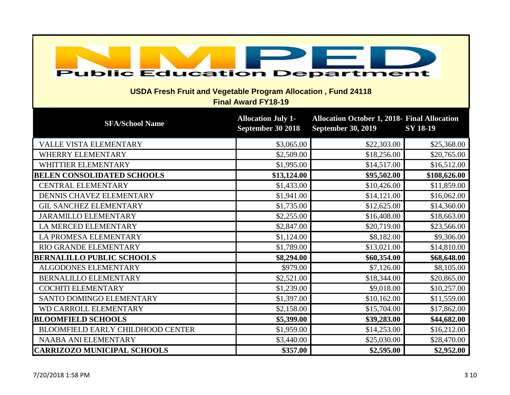| <b>Public Education Department</b><br><b>USDA Fresh Fruit and Vegetable Program Allocation, Fund 24118</b><br><b>Final Award FY18-19</b> |                                                |                                                                                  |                 |
|------------------------------------------------------------------------------------------------------------------------------------------|------------------------------------------------|----------------------------------------------------------------------------------|-----------------|
| <b>SFA/School Name</b>                                                                                                                   | <b>Allocation July 1-</b><br>September 30 2018 | <b>Allocation October 1, 2018- Final Allocation</b><br><b>September 30, 2019</b> | <b>SY 18-19</b> |
| VALLE VISTA ELEMENTARY                                                                                                                   | \$3,065.00                                     | \$22,303.00                                                                      | \$25,368.00     |
| WHERRY ELEMENTARY                                                                                                                        | \$2,509.00                                     | \$18,256.00                                                                      | \$20,765.00     |
| WHITTIER ELEMENTARY                                                                                                                      | \$1,995.00                                     | \$14,517.00                                                                      | \$16,512.00     |
| <b>BELEN CONSOLIDATED SCHOOLS</b>                                                                                                        | \$13,124.00                                    | \$95,502.00                                                                      | \$108,626.00    |
| <b>CENTRAL ELEMENTARY</b>                                                                                                                | \$1,433.00                                     | \$10,426.00                                                                      | \$11,859.00     |
| DENNIS CHAVEZ ELEMENTARY                                                                                                                 | \$1,941.00                                     | \$14,121.00                                                                      | \$16,062.00     |
| <b>GIL SANCHEZ ELEMENTARY</b>                                                                                                            | \$1,735.00                                     | \$12,625.00                                                                      | \$14,360.00     |
| <b>JARAMILLO ELEMENTARY</b>                                                                                                              | \$2,255.00                                     | \$16,408.00                                                                      | \$18,663.00     |
| LA MERCED ELEMENTARY                                                                                                                     | \$2,847.00                                     | \$20,719.00                                                                      | \$23,566.00     |
| LA PROMESA ELEMENTARY                                                                                                                    | \$1,124.00                                     | \$8,182.00                                                                       | \$9,306.00      |
| RIO GRANDE ELEMENTARY                                                                                                                    | \$1,789.00                                     | \$13,021.00                                                                      | \$14,810.00     |
| <b>BERNALILLO PUBLIC SCHOOLS</b>                                                                                                         | \$8,294.00                                     | \$60,354.00                                                                      | \$68,648.00     |
| <b>ALGODONES ELEMENTARY</b>                                                                                                              | \$979.00                                       | \$7,126.00                                                                       | \$8,105.00      |
| BERNALILLO ELEMENTARY                                                                                                                    | \$2,521.00                                     | \$18,344.00                                                                      | \$20,865.00     |
| <b>COCHITI ELEMENTARY</b>                                                                                                                | \$1,239.00                                     | \$9,018.00                                                                       | \$10,257.00     |
| SANTO DOMINGO ELEMENTARY                                                                                                                 | \$1,397.00                                     | \$10,162.00                                                                      | \$11,559.00     |
| WD CARROLL ELEMENTARY                                                                                                                    | \$2,158.00                                     | \$15,704.00                                                                      | \$17,862.00     |
| <b>BLOOMFIELD SCHOOLS</b>                                                                                                                | \$5,399.00                                     | \$39,283.00                                                                      | \$44,682.00     |
| <b>BLOOMFIELD EARLY CHILDHOOD CENTER</b>                                                                                                 | \$1,959.00                                     | \$14,253.00                                                                      | \$16,212.00     |
| NAABA ANI ELEMENTARY                                                                                                                     | \$3,440.00                                     | \$25,030.00                                                                      | \$28,470.00     |
| <b>CARRIZOZO MUNICIPAL SCHOOLS</b>                                                                                                       | \$357.00                                       | \$2,595.00                                                                       | \$2,952.00      |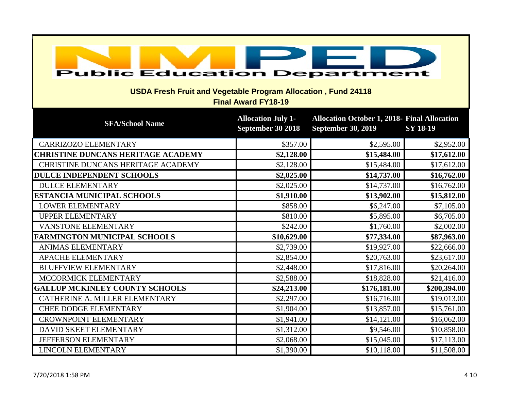| <b>Public Education Department</b><br><b>USDA Fresh Fruit and Vegetable Program Allocation, Fund 24118</b><br><b>Final Award FY18-19</b> |                                                |                                                                                  |                 |  |
|------------------------------------------------------------------------------------------------------------------------------------------|------------------------------------------------|----------------------------------------------------------------------------------|-----------------|--|
| <b>SFA/School Name</b>                                                                                                                   | <b>Allocation July 1-</b><br>September 30 2018 | <b>Allocation October 1, 2018- Final Allocation</b><br><b>September 30, 2019</b> | <b>SY 18-19</b> |  |
| CARRIZOZO ELEMENTARY                                                                                                                     | \$357.00                                       | \$2,595.00                                                                       | \$2,952.00      |  |
| <b>CHRISTINE DUNCANS HERITAGE ACADEMY</b>                                                                                                | \$2,128.00                                     | \$15,484.00                                                                      | \$17,612.00     |  |
| CHRISTINE DUNCANS HERITAGE ACADEMY                                                                                                       | \$2,128.00                                     | \$15,484.00                                                                      | \$17,612.00     |  |
| <b>DULCE INDEPENDENT SCHOOLS</b>                                                                                                         | \$2,025.00                                     | \$14,737.00                                                                      | \$16,762.00     |  |
| <b>DULCE ELEMENTARY</b>                                                                                                                  | \$2,025.00                                     | \$14,737.00                                                                      | \$16,762.00     |  |
| <b>ESTANCIA MUNICIPAL SCHOOLS</b>                                                                                                        | \$1,910.00                                     | \$13,902.00                                                                      | \$15,812.00     |  |
| <b>LOWER ELEMENTARY</b>                                                                                                                  | \$858.00                                       | \$6,247.00                                                                       | \$7,105.00      |  |
| <b>UPPER ELEMENTARY</b>                                                                                                                  | \$810.00                                       | \$5,895.00                                                                       | \$6,705.00      |  |
| VANSTONE ELEMENTARY                                                                                                                      | \$242.00                                       | \$1,760.00                                                                       | \$2,002.00      |  |
| <b>FARMINGTON MUNICIPAL SCHOOLS</b>                                                                                                      | \$10,629.00                                    | \$77,334.00                                                                      | \$87,963.00     |  |
| <b>ANIMAS ELEMENTARY</b>                                                                                                                 | \$2,739.00                                     | \$19,927.00                                                                      | \$22,666.00     |  |
| <b>APACHE ELEMENTARY</b>                                                                                                                 | \$2,854.00                                     | \$20,763.00                                                                      | \$23,617.00     |  |
| <b>BLUFFVIEW ELEMENTARY</b>                                                                                                              | \$2,448.00                                     | \$17,816.00                                                                      | \$20,264.00     |  |
| MCCORMICK ELEMENTARY                                                                                                                     | \$2,588.00                                     | \$18,828.00                                                                      | \$21,416.00     |  |
| <b>GALLUP MCKINLEY COUNTY SCHOOLS</b>                                                                                                    | \$24,213.00                                    | \$176,181.00                                                                     | \$200,394.00    |  |
| CATHERINE A. MILLER ELEMENTARY                                                                                                           | \$2,297.00                                     | \$16,716.00                                                                      | \$19,013.00     |  |
| <b>CHEE DODGE ELEMENTARY</b>                                                                                                             | \$1,904.00                                     | \$13,857.00                                                                      | \$15,761.00     |  |
| <b>CROWNPOINT ELEMENTARY</b>                                                                                                             | \$1,941.00                                     | \$14,121.00                                                                      | \$16,062.00     |  |
| DAVID SKEET ELEMENTARY                                                                                                                   | \$1,312.00                                     | \$9,546.00                                                                       | \$10,858.00     |  |
| JEFFERSON ELEMENTARY                                                                                                                     | \$2,068.00                                     | \$15,045.00                                                                      | \$17,113.00     |  |
| <b>LINCOLN ELEMENTARY</b>                                                                                                                | \$1,390.00                                     | \$10,118.00                                                                      | \$11,508.00     |  |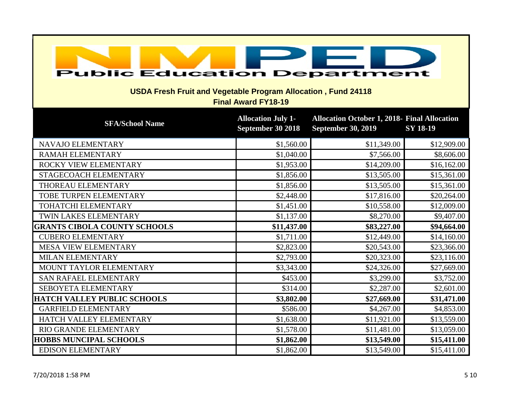| <b>Public Education Department</b><br><b>USDA Fresh Fruit and Vegetable Program Allocation, Fund 24118</b><br><b>Final Award FY18-19</b> |                                                |                                                                                  |                 |  |
|------------------------------------------------------------------------------------------------------------------------------------------|------------------------------------------------|----------------------------------------------------------------------------------|-----------------|--|
| <b>SFA/School Name</b>                                                                                                                   | <b>Allocation July 1-</b><br>September 30 2018 | <b>Allocation October 1, 2018- Final Allocation</b><br><b>September 30, 2019</b> | <b>SY 18-19</b> |  |
| NAVAJO ELEMENTARY                                                                                                                        | \$1,560.00                                     | \$11,349.00                                                                      | \$12,909.00     |  |
| <b>RAMAH ELEMENTARY</b>                                                                                                                  | \$1,040.00                                     | \$7,566.00                                                                       | \$8,606.00      |  |
| ROCKY VIEW ELEMENTARY                                                                                                                    | \$1,953.00                                     | \$14,209.00                                                                      | \$16,162.00     |  |
| STAGECOACH ELEMENTARY                                                                                                                    | \$1,856.00                                     | \$13,505.00                                                                      | \$15,361.00     |  |
| THOREAU ELEMENTARY                                                                                                                       | \$1,856.00                                     | \$13,505.00                                                                      | \$15,361.00     |  |
| TOBE TURPEN ELEMENTARY                                                                                                                   | \$2,448.00                                     | \$17,816.00                                                                      | \$20,264.00     |  |
| TOHATCHI ELEMENTARY                                                                                                                      | \$1,451.00                                     | \$10,558.00                                                                      | \$12,009.00     |  |
| TWIN LAKES ELEMENTARY                                                                                                                    | \$1,137.00                                     | \$8,270.00                                                                       | \$9,407.00      |  |
| <b>GRANTS CIBOLA COUNTY SCHOOLS</b>                                                                                                      | \$11,437.00                                    | \$83,227.00                                                                      | \$94,664.00     |  |
| <b>CUBERO ELEMENTARY</b>                                                                                                                 | \$1,711.00                                     | \$12,449.00                                                                      | \$14,160.00     |  |
| MESA VIEW ELEMENTARY                                                                                                                     | \$2,823.00                                     | \$20,543.00                                                                      | \$23,366.00     |  |
| <b>MILAN ELEMENTARY</b>                                                                                                                  | \$2,793.00                                     | \$20,323.00                                                                      | \$23,116.00     |  |
| MOUNT TAYLOR ELEMENTARY                                                                                                                  | \$3,343.00                                     | \$24,326.00                                                                      | \$27,669.00     |  |
| <b>SAN RAFAEL ELEMENTARY</b>                                                                                                             | \$453.00                                       | \$3,299.00                                                                       | \$3,752.00      |  |
| SEBOYETA ELEMENTARY                                                                                                                      | \$314.00                                       | \$2,287.00                                                                       | \$2,601.00      |  |
| <b>HATCH VALLEY PUBLIC SCHOOLS</b>                                                                                                       | \$3,802.00                                     | \$27,669.00                                                                      | \$31,471.00     |  |
| <b>GARFIELD ELEMENTARY</b>                                                                                                               | \$586.00                                       | \$4,267.00                                                                       | \$4,853.00      |  |
| HATCH VALLEY ELEMENTARY                                                                                                                  | \$1,638.00                                     | \$11,921.00                                                                      | \$13,559.00     |  |
| RIO GRANDE ELEMENTARY                                                                                                                    | \$1,578.00                                     | \$11,481.00                                                                      | \$13,059.00     |  |
| <b>HOBBS MUNCIPAL SCHOOLS</b>                                                                                                            | \$1,862.00                                     | \$13,549.00                                                                      | \$15,411.00     |  |
| <b>EDISON ELEMENTARY</b>                                                                                                                 | \$1,862.00                                     | \$13,549.00                                                                      | \$15,411.00     |  |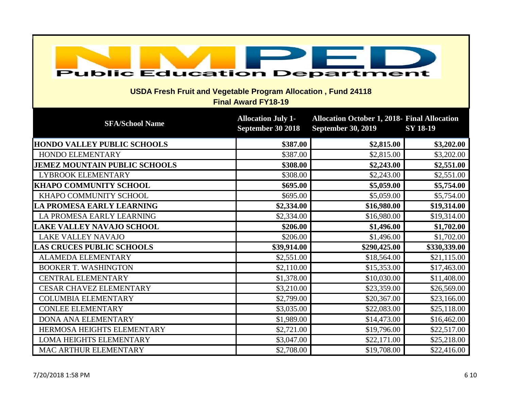| <b>Public Education Department</b><br><b>USDA Fresh Fruit and Vegetable Program Allocation, Fund 24118</b><br><b>Final Award FY18-19</b> |                                                |                                                                                  |                 |
|------------------------------------------------------------------------------------------------------------------------------------------|------------------------------------------------|----------------------------------------------------------------------------------|-----------------|
| <b>SFA/School Name</b>                                                                                                                   | <b>Allocation July 1-</b><br>September 30 2018 | <b>Allocation October 1, 2018- Final Allocation</b><br><b>September 30, 2019</b> | <b>SY 18-19</b> |
| <b>HONDO VALLEY PUBLIC SCHOOLS</b>                                                                                                       | \$387.00                                       | \$2,815.00                                                                       | \$3,202.00      |
| HONDO ELEMENTARY                                                                                                                         | \$387.00                                       | \$2,815.00                                                                       | \$3,202.00      |
| <b>JEMEZ MOUNTAIN PUBLIC SCHOOLS</b>                                                                                                     | \$308.00                                       | \$2,243.00                                                                       | \$2,551.00      |
| <b>LYBROOK ELEMENTARY</b>                                                                                                                | \$308.00                                       | \$2,243.00                                                                       | \$2,551.00      |
| <b>KHAPO COMMUNITY SCHOOL</b>                                                                                                            | \$695.00                                       | \$5,059.00                                                                       | \$5,754.00      |
| KHAPO COMMUNITY SCHOOL                                                                                                                   | \$695.00                                       | \$5,059.00                                                                       | \$5,754.00      |
| LA PROMESA EARLY LEARNING                                                                                                                | \$2,334.00                                     | \$16,980.00                                                                      | \$19,314.00     |
| LA PROMESA EARLY LEARNING                                                                                                                | \$2,334.00                                     | \$16,980.00                                                                      | \$19,314.00     |
| <b>LAKE VALLEY NAVAJO SCHOOL</b>                                                                                                         | \$206.00                                       | \$1,496.00                                                                       | \$1,702.00      |
| <b>LAKE VALLEY NAVAJO</b>                                                                                                                | \$206.00                                       | \$1,496.00                                                                       | \$1,702.00      |
| <b>LAS CRUCES PUBLIC SCHOOLS</b>                                                                                                         | \$39,914.00                                    | \$290,425.00                                                                     | \$330,339.00    |
| <b>ALAMEDA ELEMENTARY</b>                                                                                                                | \$2,551.00                                     | \$18,564.00                                                                      | \$21,115.00     |
| <b>BOOKER T. WASHINGTON</b>                                                                                                              | \$2,110.00                                     | \$15,353.00                                                                      | \$17,463.00     |
| <b>CENTRAL ELEMENTARY</b>                                                                                                                | \$1,378.00                                     | \$10,030.00                                                                      | \$11,408.00     |
| <b>CESAR CHAVEZ ELEMENTARY</b>                                                                                                           | \$3,210.00                                     | \$23,359.00                                                                      | \$26,569.00     |
| <b>COLUMBIA ELEMENTARY</b>                                                                                                               | \$2,799.00                                     | \$20,367.00                                                                      | \$23,166.00     |
| <b>CONLEE ELEMENTARY</b>                                                                                                                 | \$3,035.00                                     | \$22,083.00                                                                      | \$25,118.00     |
| DONA ANA ELEMENTARY                                                                                                                      | \$1,989.00                                     | \$14,473.00                                                                      | \$16,462.00     |
| HERMOSA HEIGHTS ELEMENTARY                                                                                                               | \$2,721.00                                     | \$19,796.00                                                                      | \$22,517.00     |
| <b>LOMA HEIGHTS ELEMENTARY</b>                                                                                                           | \$3,047.00                                     | \$22,171.00                                                                      | \$25,218.00     |
| MAC ARTHUR ELEMENTARY                                                                                                                    | \$2,708.00                                     | \$19,708.00                                                                      | \$22,416.00     |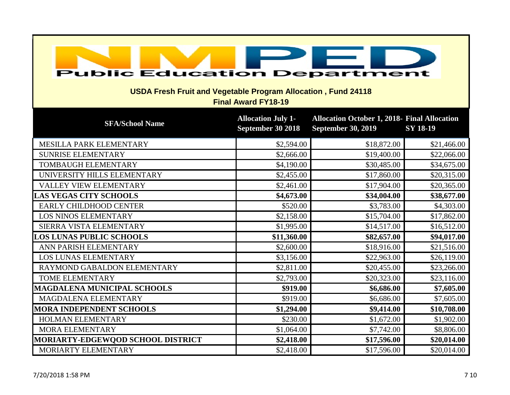| <b>Public Education Department</b><br><b>USDA Fresh Fruit and Vegetable Program Allocation, Fund 24118</b><br><b>Final Award FY18-19</b> |                                                |                                                                                  |                 |  |
|------------------------------------------------------------------------------------------------------------------------------------------|------------------------------------------------|----------------------------------------------------------------------------------|-----------------|--|
| <b>SFA/School Name</b>                                                                                                                   | <b>Allocation July 1-</b><br>September 30 2018 | <b>Allocation October 1, 2018- Final Allocation</b><br><b>September 30, 2019</b> | <b>SY 18-19</b> |  |
| MESILLA PARK ELEMENTARY                                                                                                                  | \$2,594.00                                     | \$18,872.00                                                                      | \$21,466.00     |  |
| <b>SUNRISE ELEMENTARY</b>                                                                                                                | \$2,666.00                                     | \$19,400.00                                                                      | \$22,066.00     |  |
| TOMBAUGH ELEMENTARY                                                                                                                      | \$4,190.00                                     | \$30,485.00                                                                      | \$34,675.00     |  |
| UNIVERSITY HILLS ELEMENTARY                                                                                                              | \$2,455.00                                     | \$17,860.00                                                                      | \$20,315.00     |  |
| VALLEY VIEW ELEMENTARY                                                                                                                   | \$2,461.00                                     | \$17,904.00                                                                      | \$20,365.00     |  |
| <b>LAS VEGAS CITY SCHOOLS</b>                                                                                                            | \$4,673.00                                     | \$34,004.00                                                                      | \$38,677.00     |  |
| EARLY CHILDHOOD CENTER                                                                                                                   | \$520.00                                       | \$3,783.00                                                                       | \$4,303.00      |  |
| <b>LOS NINOS ELEMENTARY</b>                                                                                                              | \$2,158.00                                     | \$15,704.00                                                                      | \$17,862.00     |  |
| SIERRA VISTA ELEMENTARY                                                                                                                  | \$1,995.00                                     | \$14,517.00                                                                      | \$16,512.00     |  |
| <b>LOS LUNAS PUBLIC SCHOOLS</b>                                                                                                          | \$11,360.00                                    | \$82,657.00                                                                      | \$94,017.00     |  |
| ANN PARISH ELEMENTARY                                                                                                                    | \$2,600.00                                     | \$18,916.00                                                                      | \$21,516.00     |  |
| <b>LOS LUNAS ELEMENTARY</b>                                                                                                              | \$3,156.00                                     | \$22,963.00                                                                      | \$26,119.00     |  |
| RAYMOND GABALDON ELEMENTARY                                                                                                              | \$2,811.00                                     | \$20,455.00                                                                      | \$23,266.00     |  |
| <b>TOME ELEMENTARY</b>                                                                                                                   | \$2,793.00                                     | \$20,323.00                                                                      | \$23,116.00     |  |
| <b>MAGDALENA MUNICIPAL SCHOOLS</b>                                                                                                       | \$919.00                                       | \$6,686.00                                                                       | \$7,605.00      |  |
| MAGDALENA ELEMENTARY                                                                                                                     | \$919.00                                       | \$6,686.00                                                                       | \$7,605.00      |  |
| <b>MORA INDEPENDENT SCHOOLS</b>                                                                                                          | \$1,294.00                                     | \$9,414.00                                                                       | \$10,708.00     |  |
| HOLMAN ELEMENTARY                                                                                                                        | \$230.00                                       | \$1,672.00                                                                       | \$1,902.00      |  |
| <b>MORA ELEMENTARY</b>                                                                                                                   | \$1,064.00                                     | \$7,742.00                                                                       | \$8,806.00      |  |
| <b>MORIARTY-EDGEWQOD SCHOOL DISTRICT</b>                                                                                                 | \$2,418.00                                     | \$17,596.00                                                                      | \$20,014.00     |  |
| MORIARTY ELEMENTARY                                                                                                                      | \$2,418.00                                     | \$17,596.00                                                                      | \$20,014.00     |  |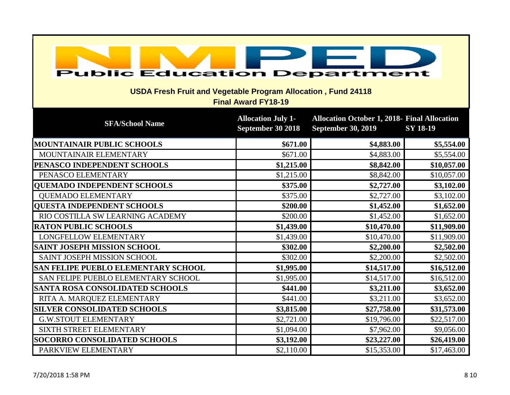| <b>Public Education Department</b><br><b>USDA Fresh Fruit and Vegetable Program Allocation, Fund 24118</b><br><b>Final Award FY18-19</b> |                                                |                                                                                  |                 |
|------------------------------------------------------------------------------------------------------------------------------------------|------------------------------------------------|----------------------------------------------------------------------------------|-----------------|
| <b>SFA/School Name</b>                                                                                                                   | <b>Allocation July 1-</b><br>September 30 2018 | <b>Allocation October 1, 2018- Final Allocation</b><br><b>September 30, 2019</b> | <b>SY 18-19</b> |
| <b>MOUNTAINAIR PUBLIC SCHOOLS</b>                                                                                                        | \$671.00                                       | \$4,883.00                                                                       | \$5,554.00      |
| MOUNTAINAIR ELEMENTARY                                                                                                                   | \$671.00                                       | \$4,883.00                                                                       | \$5,554.00      |
| PENASCO INDEPENDENT SCHOOLS                                                                                                              | \$1,215.00                                     | \$8,842.00                                                                       | \$10,057.00     |
| PENASCO ELEMENTARY                                                                                                                       | \$1,215.00                                     | \$8,842.00                                                                       | \$10,057.00     |
| <b>QUEMADO INDEPENDENT SCHOOLS</b>                                                                                                       | \$375.00                                       | \$2,727.00                                                                       | \$3,102.00      |
| <b>QUEMADO ELEMENTARY</b>                                                                                                                | \$375.00                                       | \$2,727.00                                                                       | \$3,102.00      |
| <b>QUESTA INDEPENDENT SCHOOLS</b>                                                                                                        | \$200.00                                       | \$1,452.00                                                                       | \$1,652.00      |
| RIO COSTILLA SW LEARNING ACADEMY                                                                                                         | \$200.00                                       | \$1,452.00                                                                       | \$1,652.00      |
| <b>RATON PUBLIC SCHOOLS</b>                                                                                                              | \$1,439.00                                     | \$10,470.00                                                                      | \$11,909.00     |
| <b>LONGFELLOW ELEMENTARY</b>                                                                                                             | \$1,439.00                                     | \$10,470.00                                                                      | \$11,909.00     |
| <b>SAINT JOSEPH MISSION SCHOOL</b>                                                                                                       | \$302.00                                       | \$2,200.00                                                                       | \$2,502.00      |
| SAINT JOSEPH MISSION SCHOOL                                                                                                              | \$302.00                                       | \$2,200.00                                                                       | \$2,502.00      |
| <b>SAN FELIPE PUEBLO ELEMENTARY SCHOOL</b>                                                                                               | \$1,995.00                                     | \$14,517.00                                                                      | \$16,512.00     |
| SAN FELIPE PUEBLO ELEMENTARY SCHOOL                                                                                                      | \$1,995.00                                     | \$14,517.00                                                                      | \$16,512.00     |
| <b>SANTA ROSA CONSOLIDATED SCHOOLS</b>                                                                                                   | \$441.00                                       | \$3,211.00                                                                       | \$3,652.00      |
| RITA A. MARQUEZ ELEMENTARY                                                                                                               | \$441.00                                       | \$3,211.00                                                                       | \$3,652.00      |
| <b>SILVER CONSOLIDATED SCHOOLS</b>                                                                                                       | \$3,815.00                                     | \$27,758.00                                                                      | \$31,573.00     |
| <b>G.W.STOUT ELEMENTARY</b>                                                                                                              | \$2,721.00                                     | \$19,796.00                                                                      | \$22,517.00     |
| SIXTH STREET ELEMENTARY                                                                                                                  | \$1,094.00                                     | \$7,962.00                                                                       | \$9,056.00      |
| <b>SOCORRO CONSOLIDATED SCHOOLS</b>                                                                                                      | \$3,192.00                                     | \$23,227.00                                                                      | \$26,419.00     |
| PARKVIEW ELEMENTARY                                                                                                                      | \$2,110.00                                     | \$15,353.00                                                                      | \$17,463.00     |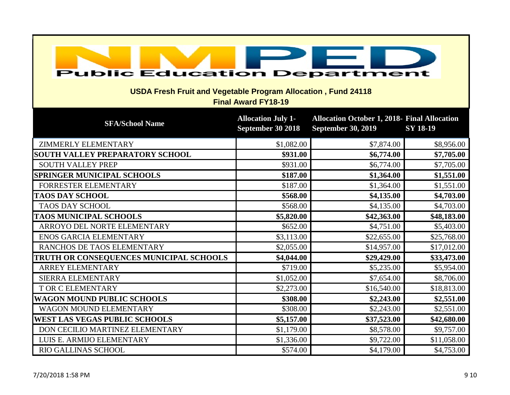| <b>Public Education Department</b><br><b>USDA Fresh Fruit and Vegetable Program Allocation, Fund 24118</b><br><b>Final Award FY18-19</b> |                                                |                                                                                  |                 |  |
|------------------------------------------------------------------------------------------------------------------------------------------|------------------------------------------------|----------------------------------------------------------------------------------|-----------------|--|
| <b>SFA/School Name</b>                                                                                                                   | <b>Allocation July 1-</b><br>September 30 2018 | <b>Allocation October 1, 2018- Final Allocation</b><br><b>September 30, 2019</b> | <b>SY 18-19</b> |  |
| <b>ZIMMERLY ELEMENTARY</b>                                                                                                               | \$1,082.00                                     | \$7,874.00                                                                       | \$8,956.00      |  |
| <b>SOUTH VALLEY PREPARATORY SCHOOL</b>                                                                                                   | \$931.00                                       | \$6,774.00                                                                       | \$7,705.00      |  |
| <b>SOUTH VALLEY PREP</b>                                                                                                                 | \$931.00                                       | \$6,774.00                                                                       | \$7,705.00      |  |
| <b>SPRINGER MUNICIPAL SCHOOLS</b>                                                                                                        | \$187.00                                       | \$1,364.00                                                                       | \$1,551.00      |  |
| FORRESTER ELEMENTARY                                                                                                                     | \$187.00                                       | \$1,364.00                                                                       | \$1,551.00      |  |
| <b>TAOS DAY SCHOOL</b>                                                                                                                   | \$568.00                                       | \$4,135.00                                                                       | \$4,703.00      |  |
| <b>TAOS DAY SCHOOL</b>                                                                                                                   | \$568.00                                       | \$4,135.00                                                                       | \$4,703.00      |  |
| <b>TAOS MUNICIPAL SCHOOLS</b>                                                                                                            | \$5,820.00                                     | \$42,363.00                                                                      | \$48,183.00     |  |
| ARROYO DEL NORTE ELEMENTARY                                                                                                              | \$652.00                                       | \$4,751.00                                                                       | \$5,403.00      |  |
| <b>ENOS GARCIA ELEMENTARY</b>                                                                                                            | \$3,113.00                                     | \$22,655.00                                                                      | \$25,768.00     |  |
| RANCHOS DE TAOS ELEMENTARY                                                                                                               | \$2,055.00                                     | \$14,957.00                                                                      | \$17,012.00     |  |
| TRUTH OR CONSEQUENCES MUNICIPAL SCHOOLS                                                                                                  | \$4,044.00                                     | \$29,429.00                                                                      | \$33,473.00     |  |
| <b>ARREY ELEMENTARY</b>                                                                                                                  | \$719.00                                       | \$5,235.00                                                                       | \$5,954.00      |  |
| SIERRA ELEMENTARY                                                                                                                        | \$1,052.00                                     | \$7,654.00                                                                       | \$8,706.00      |  |
| T OR C ELEMENTARY                                                                                                                        | \$2,273.00                                     | \$16,540.00                                                                      | \$18,813.00     |  |
| <b>WAGON MOUND PUBLIC SCHOOLS</b>                                                                                                        | \$308.00                                       | \$2,243.00                                                                       | \$2,551.00      |  |
| WAGON MOUND ELEMENTARY                                                                                                                   | \$308.00                                       | \$2,243.00                                                                       | \$2,551.00      |  |
| <b>WEST LAS VEGAS PUBLIC SCHOOLS</b>                                                                                                     | \$5,157.00                                     | \$37,523.00                                                                      | \$42,680.00     |  |
| DON CECILIO MARTINEZ ELEMENTARY                                                                                                          | \$1,179.00                                     | \$8,578.00                                                                       | \$9,757.00      |  |
| LUIS E. ARMIJO ELEMENTARY                                                                                                                | \$1,336.00                                     | \$9,722.00                                                                       | \$11,058.00     |  |
| RIO GALLINAS SCHOOL                                                                                                                      | \$574.00                                       | \$4,179.00                                                                       | \$4,753.00      |  |